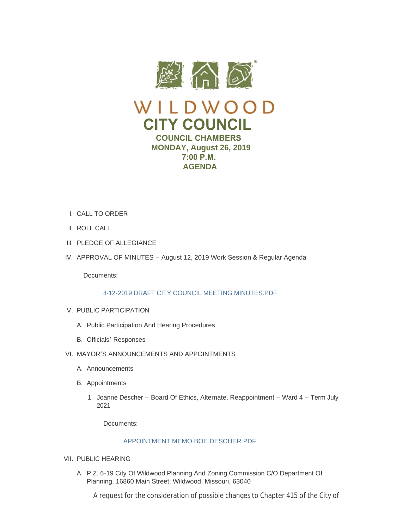

- CALL TO ORDER I.
- II. ROLL CALL
- III. PLEDGE OF ALLEGIANCE
- IV. APPROVAL OF MINUTES August 12, 2019 Work Session & Regular Agenda

Documents:

# [8-12-2019 DRAFT CITY COUNCIL MEETING MINUTES.PDF](https://www.cityofwildwood.com/AgendaCenter/ViewFile/Item/21740?fileID=27222)

- V. PUBLIC PARTICIPATION
	- A. Public Participation And Hearing Procedures
	- B. Officials' Responses
- VI. MAYOR'S ANNOUNCEMENTS AND APPOINTMENTS
	- A. Announcements
	- B. Appointments
		- 1. Joanne Descher Board Of Ethics, Alternate, Reappointment Ward 4 Term July 2021

Documents:

# [APPOINTMENT MEMO.BOE.DESCHER.PDF](https://www.cityofwildwood.com/AgendaCenter/ViewFile/Item/21747?fileID=27223)

- VII. PUBLIC HEARING
	- A. P.Z. 6-19 City Of Wildwood Planning And Zoning Commission C/O Department Of Planning, 16860 Main Street, Wildwood, Missouri, 63040

A request for the consideration of possible changes to Chapter 415 of the City of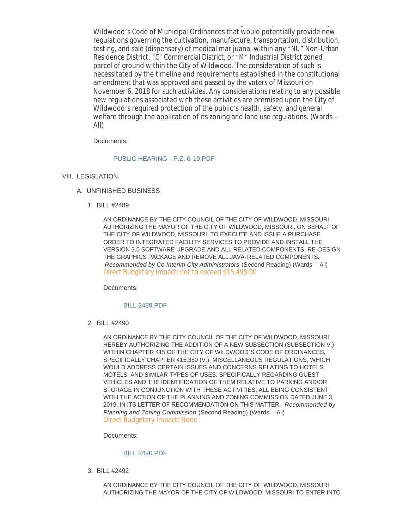A request for the consideration of possible changes to Chapter 415 of the City of Wildwood's Code of Municipal Ordinances that would potentially provide new regulations governing the cultivation, manufacture, transportation, distribution, testing, and sale (dispensary) of medical marijuana, within any "NU" Non-Urban Residence District, "C" Commercial District, or "M" Industrial District zoned parcel of ground within the City of Wildwood. The consideration of such is necessitated by the timeline and requirements established in the constitutional amendment that was approved and passed by the voters of Missouri on November 6, 2018 for such activities. Any considerations relating to any possible new regulations associated with these activities are premised upon the City of Wildwood's required protection of the public's health, safety, and general welfare through the application of its zoning and land use regulations. (Wards – All)

Documents:

# [PUBLIC HEARING -](https://www.cityofwildwood.com/AgendaCenter/ViewFile/Item/21749?fileID=27203) P.Z. 6-19.PDF

- VIII. LEGISLATION
	- UNFINISHED BUSINESS A.
		- BILL #2489 1.

AN ORDINANCE BY THE CITY COUNCIL OF THE CITY OF WILDWOOD, MISSOURI AUTHORIZING THE MAYOR OF THE CITY OF WILDWOOD, MISSOURI, ON BEHALF OF THE CITY OF WILDWOOD, MISSOURI, TO EXECUTE AND ISSUE A PURCHASE ORDER TO INTEGRATED FACILITY SERVICES TO PROVIDE AND INSTALL THE VERSION 3.0 SOFTWARE UPGRADE AND ALL RELATED COMPONENTS, RE-DESIGN THE GRAPHICS PACKAGE AND REMOVE ALL JAVA-RELATED COMPONENTS. *Recommended by Co Interim City Administrators* (Second Reading) (Wards – All) Direct Budgetary Impact: not to exceed \$15,495.00

Documents:

## [BILL 2489.PDF](https://www.cityofwildwood.com/AgendaCenter/ViewFile/Item/21752?fileID=27204)

BILL #2490 2.

AN ORDINANCE BY THE CITY COUNCIL OF THE CITY OF WILDWOOD, MISSOURI HEREBY AUTHORIZING THE ADDITION OF A NEW SUBSECTION (SUBSECTION V.) WITHIN CHAPTER 415 OF THE CITY OF WILDWOOD'S CODE OF ORDINANCES, SPECIFICALLY CHAPTER 415.380 (V.), MISCELLANEOUS REGULATIONS, WHICH WOULD ADDRESS CERTAIN ISSUES AND CONCERNS RELATING TO HOTELS, MOTELS, AND SIMILAR TYPES OF USES, SPECIFICALLY REGARDING GUEST VEHICLES AND THE IDENTIFICATION OF THEM RELATIVE TO PARKING AND/OR STORAGE IN CONJUNCTION WITH THESE ACTIVITIES, ALL BEING CONSISTENT WITH THE ACTION OF THE PLANNING AND ZONING COMMISSION DATED JUNE 3, 2019, IN ITS LETTER OF RECOMMENDATION ON THIS MATTER. *Recommended by Planning and Zoning Commission* (Second Reading) (Wards – All) Direct Budgetary Impact: None

Documents:

## [BILL 2490.PDF](https://www.cityofwildwood.com/AgendaCenter/ViewFile/Item/21753?fileID=27205)

BILL #2492 3.

AN ORDINANCE BY THE CITY COUNCIL OF THE CITY OF WILDWOOD, MISSOURI AUTHORIZING THE MAYOR OF THE CITY OF WILDWOOD, MISSOURI TO ENTER INTO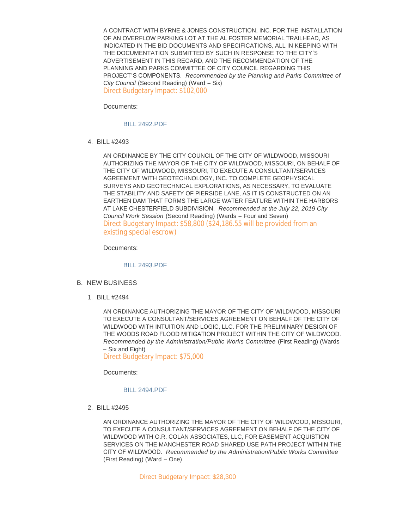A CONTRACT WITH BYRNE & JONES CONSTRUCTION, INC. FOR THE INSTALLATION OF AN OVERFLOW PARKING LOT AT THE AL FOSTER MEMORIAL TRAILHEAD, AS INDICATED IN THE BID DOCUMENTS AND SPECIFICATIONS, ALL IN KEEPING WITH THE DOCUMENTATION SUBMITTED BY SUCH IN RESPONSE TO THE CITY'S ADVERTISEMENT IN THIS REGARD, AND THE RECOMMENDATION OF THE PLANNING AND PARKS COMMITTEE OF CITY COUNCIL REGARDING THIS PROJECT'S COMPONENTS. *Recommended by the Planning and Parks Committee of City Council* (Second Reading) (Ward – Six) Direct Budgetary Impact: \$102,000

Documents:

[BILL 2492.PDF](https://www.cityofwildwood.com/AgendaCenter/ViewFile/Item/21754?fileID=27206)

BILL #2493 4.

AN ORDINANCE BY THE CITY COUNCIL OF THE CITY OF WILDWOOD, MISSOURI AUTHORIZING THE MAYOR OF THE CITY OF WILDWOOD, MISSOURI, ON BEHALF OF THE CITY OF WILDWOOD, MISSOURI, TO EXECUTE A CONSULTANT/SERVICES AGREEMENT WITH GEOTECHNOLOGY, INC. TO COMPLETE GEOPHYSICAL SURVEYS AND GEOTECHNICAL EXPLORATIONS, AS NECESSARY, TO EVALUATE THE STABILITY AND SAFETY OF PIERSIDE LANE, AS IT IS CONSTRUCTED ON AN EARTHEN DAM THAT FORMS THE LARGE WATER FEATURE WITHIN THE HARBORS AT LAKE CHESTERFIELD SUBDIVISION. *Recommended at the July 22, 2019 City Council Work Session* (Second Reading) (Wards – Four and Seven) Direct Budgetary Impact: \$58,800 (\$24,186.55 will be provided from an existing special escrow)

Documents:

## [BILL 2493.PDF](https://www.cityofwildwood.com/AgendaCenter/ViewFile/Item/21755?fileID=27207)

- B. NEW BUSINESS
	- BILL #2494 1.

AN ORDINANCE AUTHORIZING THE MAYOR OF THE CITY OF WILDWOOD, MISSOURI TO EXECUTE A CONSULTANT/SERVICES AGREEMENT ON BEHALF OF THE CITY OF WILDWOOD WITH INTUITION AND LOGIC, LLC. FOR THE PRELIMINARY DESIGN OF THE WOODS ROAD FLOOD MITIGATION PROJECT WITHIN THE CITY OF WILDWOOD. *Recommended by the Administration/Public Works Committee* (First Reading) (Wards – Six and Eight)

Direct Budgetary Impact: \$75,000

Documents:

## [BILL 2494.PDF](https://www.cityofwildwood.com/AgendaCenter/ViewFile/Item/21757?fileID=27208)

BILL #2495 2.

AN ORDINANCE AUTHORIZING THE MAYOR OF THE CITY OF WILDWOOD, MISSOURI, TO EXECUTE A CONSULTANT/SERVICES AGREEMENT ON BEHALF OF THE CITY OF WILDWOOD WITH O.R. COLAN ASSOCIATES, LLC, FOR EASEMENT ACQUISTION SERVICES ON THE MANCHESTER ROAD SHARED USE PATH PROJECT WITHIN THE CITY OF WILDWOOD. *Recommended by the Administration/Public Works Committee* (First Reading) (Ward – One)

Direct Budgetary Impact: \$28,300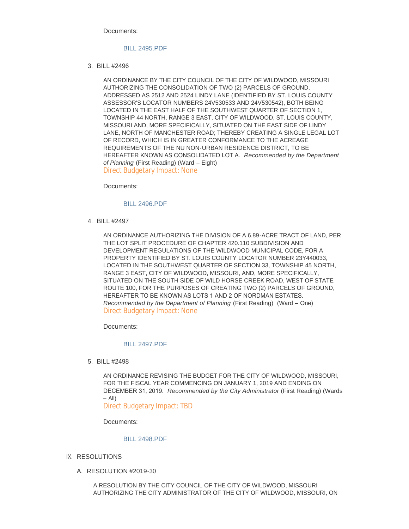Documents:

# [BILL 2495.PDF](https://www.cityofwildwood.com/AgendaCenter/ViewFile/Item/21758?fileID=27209)

BILL #2496 3.

AN ORDINANCE BY THE CITY COUNCIL OF THE CITY OF WILDWOOD, MISSOURI AUTHORIZING THE CONSOLIDATION OF TWO (2) PARCELS OF GROUND, ADDRESSED AS 2512 AND 2524 LINDY LANE (IDENTIFIED BY ST. LOUIS COUNTY ASSESSOR'S LOCATOR NUMBERS 24V530533 AND 24V530542), BOTH BEING LOCATED IN THE EAST HALF OF THE SOUTHWEST QUARTER OF SECTION 1, TOWNSHIP 44 NORTH, RANGE 3 EAST, CITY OF WILDWOOD, ST. LOUIS COUNTY, MISSOURI AND, MORE SPECIFICALLY, SITUATED ON THE EAST SIDE OF LINDY LANE, NORTH OF MANCHESTER ROAD; THEREBY CREATING A SINGLE LEGAL LOT OF RECORD, WHICH IS IN GREATER CONFORMANCE TO THE ACREAGE REQUIREMENTS OF THE NU NON-URBAN RESIDENCE DISTRICT, TO BE HEREAFTER KNOWN AS CONSOLIDATED LOT A. *Recommended by the Department of Planning* (First Reading) (Ward – Eight) Direct Budgetary Impact: None

Documents:

# [BILL 2496.PDF](https://www.cityofwildwood.com/AgendaCenter/ViewFile/Item/21759?fileID=27210)

BILL #2497 4.

AN ORDINANCE AUTHORIZING THE DIVISION OF A 6.89-ACRE TRACT OF LAND, PER THE LOT SPLIT PROCEDURE OF CHAPTER 420.110 SUBDIVISION AND DEVELOPMENT REGULATIONS OF THE WILDWOOD MUNICIPAL CODE, FOR A PROPERTY IDENTIFIED BY ST. LOUIS COUNTY LOCATOR NUMBER 23Y440033, LOCATED IN THE SOUTHWEST QUARTER OF SECTION 33, TOWNSHIP 45 NORTH, RANGE 3 EAST, CITY OF WILDWOOD, MISSOURI, AND, MORE SPECIFICALLY, SITUATED ON THE SOUTH SIDE OF WILD HORSE CREEK ROAD, WEST OF STATE ROUTE 100, FOR THE PURPOSES OF CREATING TWO (2) PARCELS OF GROUND, HEREAFTER TO BE KNOWN AS LOTS 1 AND 2 OF NORDMAN ESTATES. *Recommended by the Department of Planning* (First Reading) (Ward – One) Direct Budgetary Impact: None

Documents:

# [BILL 2497.PDF](https://www.cityofwildwood.com/AgendaCenter/ViewFile/Item/21760?fileID=27211)

BILL #2498 5.

AN ORDINANCE REVISING THE BUDGET FOR THE CITY OF WILDWOOD, MISSOURI, FOR THE FISCAL YEAR COMMENCING ON JANUARY 1, 2019 AND ENDING ON DECEMBER 31, 2019. *Recommended by the City Administrator* (First Reading) (Wards  $-$  All $)$ 

Direct Budgetary Impact: TBD

Documents:

## [BILL 2498.PDF](https://www.cityofwildwood.com/AgendaCenter/ViewFile/Item/21761?fileID=27212)

- IX. RESOLUTIONS
	- A. RESOLUTION #2019-30

A RESOLUTION BY THE CITY COUNCIL OF THE CITY OF WILDWOOD, MISSOURI AUTHORIZING THE CITY ADMINISTRATOR OF THE CITY OF WILDWOOD, MISSOURI, ON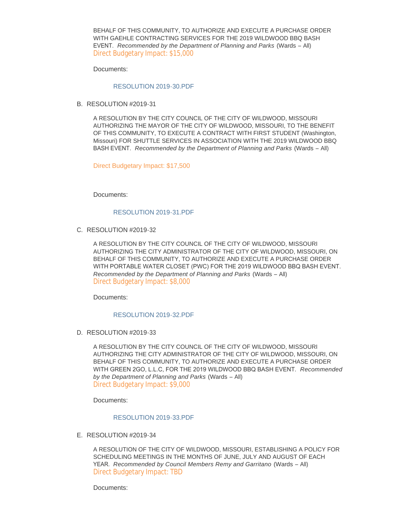BEHALF OF THIS COMMUNITY, TO AUTHORIZE AND EXECUTE A PURCHASE ORDER WITH GAEHLE CONTRACTING SERVICES FOR THE 2019 WILDWOOD BBQ BASH EVENT. *Recommended by the Department of Planning and Parks* (Wards – All) Direct Budgetary Impact: \$15,000

Documents:

## [RESOLUTION 2019-30.PDF](https://www.cityofwildwood.com/AgendaCenter/ViewFile/Item/21763?fileID=27213)

B. RESOLUTION #2019-31

A RESOLUTION BY THE CITY COUNCIL OF THE CITY OF WILDWOOD, MISSOURI AUTHORIZING THE MAYOR OF THE CITY OF WILDWOOD, MISSOURI, TO THE BENEFIT OF THIS COMMUNITY, TO EXECUTE A CONTRACT WITH FIRST STUDENT (Washington, Missouri) FOR SHUTTLE SERVICES IN ASSOCIATION WITH THE 2019 WILDWOOD BBQ BASH EVENT. *Recommended by the Department of Planning and Parks* (Wards – All)

Direct Budgetary Impact: \$17,500

Documents:

#### [RESOLUTION 2019-31.PDF](https://www.cityofwildwood.com/AgendaCenter/ViewFile/Item/21764?fileID=27214)

C. RESOLUTION #2019-32

A RESOLUTION BY THE CITY COUNCIL OF THE CITY OF WILDWOOD, MISSOURI AUTHORIZING THE CITY ADMINISTRATOR OF THE CITY OF WILDWOOD, MISSOURI, ON BEHALF OF THIS COMMUNITY, TO AUTHORIZE AND EXECUTE A PURCHASE ORDER WITH PORTABLE WATER CLOSET (PWC) FOR THE 2019 WILDWOOD BBQ BASH EVENT. *Recommended by the Department of Planning and Parks* (Wards – All) Direct Budgetary Impact: \$8,000

Documents:

#### [RESOLUTION 2019-32.PDF](https://www.cityofwildwood.com/AgendaCenter/ViewFile/Item/21765?fileID=27215)

D. RESOLUTION #2019-33

A RESOLUTION BY THE CITY COUNCIL OF THE CITY OF WILDWOOD, MISSOURI AUTHORIZING THE CITY ADMINISTRATOR OF THE CITY OF WILDWOOD, MISSOURI, ON BEHALF OF THIS COMMUNITY, TO AUTHORIZE AND EXECUTE A PURCHASE ORDER WITH GREEN 2GO, L.L.C, FOR THE 2019 WILDWOOD BBQ BASH EVENT. *Recommended by the Department of Planning and Parks* (Wards – All) Direct Budgetary Impact: \$9,000

Documents:

# [RESOLUTION 2019-33.PDF](https://www.cityofwildwood.com/AgendaCenter/ViewFile/Item/21766?fileID=27224)

E. RESOLUTION #2019-34

A RESOLUTION OF THE CITY OF WILDWOOD, MISSOURI, ESTABLISHING A POLICY FOR SCHEDULING MEETINGS IN THE MONTHS OF JUNE, JULY AND AUGUST OF EACH YEAR. *Recommended by Council Members Remy and Garritano* (Wards – All) Direct Budgetary Impact: TBD

Documents: